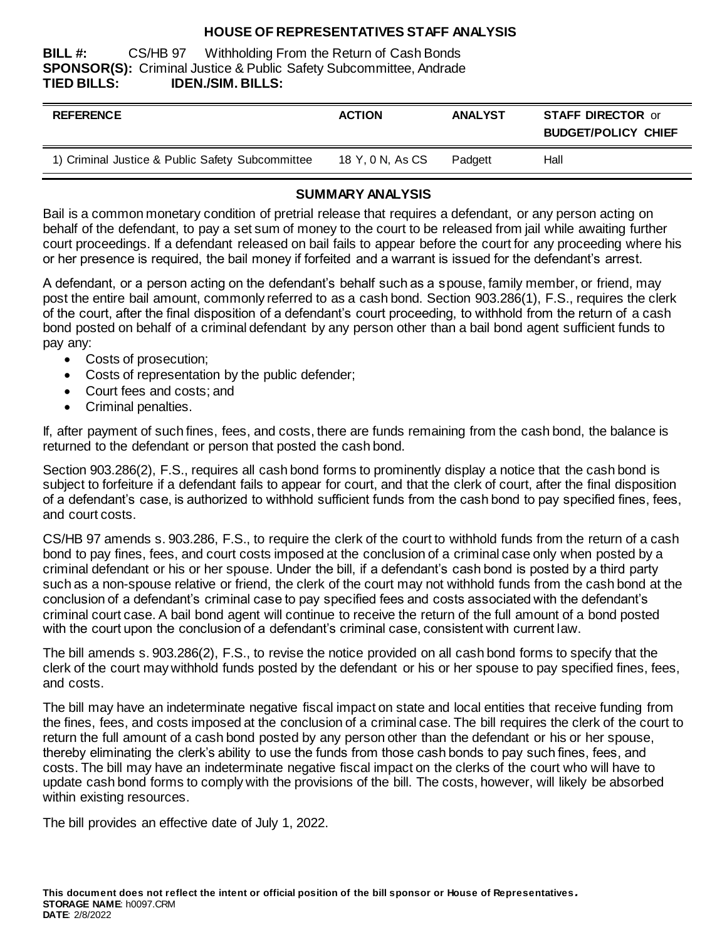## **HOUSE OF REPRESENTATIVES STAFF ANALYSIS**

**BILL #:** CS/HB 97 Withholding From the Return of Cash Bonds **SPONSOR(S):** Criminal Justice & Public Safety Subcommittee, Andrade **TIED BILLS: IDEN./SIM. BILLS:**

| <b>REFERENCE</b>                                 | <b>ACTION</b>    | <b>ANALYST</b> | <b>STAFF DIRECTOR or</b><br><b>BUDGET/POLICY CHIEF</b> |
|--------------------------------------------------|------------------|----------------|--------------------------------------------------------|
| 1) Criminal Justice & Public Safety Subcommittee | 18 Y, 0 N, As CS | Padgett        | Hall                                                   |

## **SUMMARY ANALYSIS**

Bail is a common monetary condition of pretrial release that requires a defendant, or any person acting on behalf of the defendant, to pay a set sum of money to the court to be released from jail while awaiting further court proceedings. If a defendant released on bail fails to appear before the court for any proceeding where his or her presence is required, the bail money if forfeited and a warrant is issued for the defendant's arrest.

A defendant, or a person acting on the defendant's behalf such as a spouse, family member, or friend, may post the entire bail amount, commonly referred to as a cash bond. Section 903.286(1), F.S., requires the clerk of the court, after the final disposition of a defendant's court proceeding, to withhold from the return of a cash bond posted on behalf of a criminal defendant by any person other than a bail bond agent sufficient funds to pay any:

- Costs of prosecution;
- Costs of representation by the public defender;
- Court fees and costs; and
- Criminal penalties.

If, after payment of such fines, fees, and costs, there are funds remaining from the cash bond, the balance is returned to the defendant or person that posted the cash bond.

Section 903.286(2), F.S., requires all cash bond forms to prominently display a notice that the cash bond is subject to forfeiture if a defendant fails to appear for court, and that the clerk of court, after the final disposition of a defendant's case, is authorized to withhold sufficient funds from the cash bond to pay specified fines, fees, and court costs.

CS/HB 97 amends s. 903.286, F.S., to require the clerk of the court to withhold funds from the return of a cash bond to pay fines, fees, and court costs imposed at the conclusion of a criminal case only when posted by a criminal defendant or his or her spouse. Under the bill, if a defendant's cash bond is posted by a third party such as a non-spouse relative or friend, the clerk of the court may not withhold funds from the cash bond at the conclusion of a defendant's criminal case to pay specified fees and costs associated with the defendant's criminal court case. A bail bond agent will continue to receive the return of the full amount of a bond posted with the court upon the conclusion of a defendant's criminal case, consistent with current law.

The bill amends s. 903.286(2), F.S., to revise the notice provided on all cash bond forms to specify that the clerk of the court may withhold funds posted by the defendant or his or her spouse to pay specified fines, fees, and costs.

The bill may have an indeterminate negative fiscal impact on state and local entities that receive funding from the fines, fees, and costs imposed at the conclusion of a criminal case. The bill requires the clerk of the court to return the full amount of a cash bond posted by any person other than the defendant or his or her spouse, thereby eliminating the clerk's ability to use the funds from those cash bonds to pay such fines, fees, and costs. The bill may have an indeterminate negative fiscal impact on the clerks of the court who will have to update cash bond forms to comply with the provisions of the bill. The costs, however, will likely be absorbed within existing resources.

The bill provides an effective date of July 1, 2022.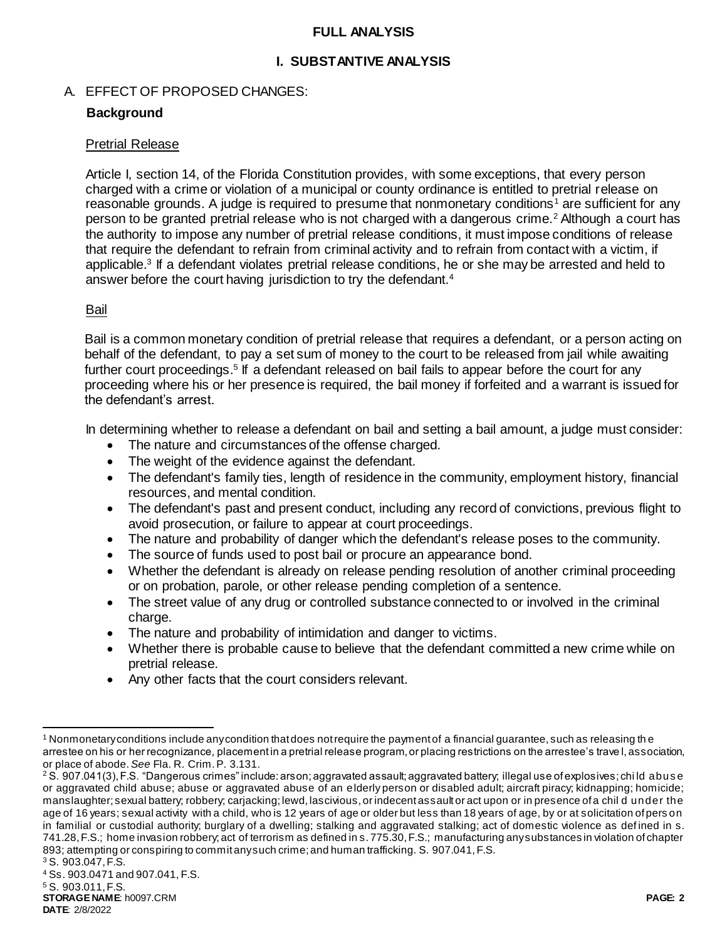### **FULL ANALYSIS**

## **I. SUBSTANTIVE ANALYSIS**

# A. EFFECT OF PROPOSED CHANGES:

# **Background**

#### Pretrial Release

Article I, section 14, of the Florida Constitution provides, with some exceptions, that every person charged with a crime or violation of a municipal or county ordinance is entitled to pretrial release on reasonable grounds. A judge is required to presume that nonmonetary conditions<sup>1</sup> are sufficient for any person to be granted pretrial release who is not charged with a dangerous crime.<sup>2</sup> Although a court has the authority to impose any number of pretrial release conditions, it must impose conditions of release that require the defendant to refrain from criminal activity and to refrain from contact with a victim, if applicable.<sup>3</sup> If a defendant violates pretrial release conditions, he or she may be arrested and held to answer before the court having jurisdiction to try the defendant.<sup>4</sup>

#### Bail

Bail is a common monetary condition of pretrial release that requires a defendant, or a person acting on behalf of the defendant, to pay a set sum of money to the court to be released from jail while awaiting further court proceedings.<sup>5</sup> If a defendant released on bail fails to appear before the court for any proceeding where his or her presence is required, the bail money if forfeited and a warrant is issued for the defendant's arrest.

In determining whether to release a defendant on bail and setting a bail amount, a judge must consider:

- The nature and circumstances of the offense charged.
- The weight of the evidence against the defendant.
- The defendant's family ties, length of residence in the community, employment history, financial resources, and mental condition.
- The defendant's past and present conduct, including any record of convictions, previous flight to avoid prosecution, or failure to appear at court proceedings.
- The nature and probability of danger which the defendant's release poses to the community.
- The source of funds used to post bail or procure an appearance bond.
- Whether the defendant is already on release pending resolution of another criminal proceeding or on probation, parole, or other release pending completion of a sentence.
- The street value of any drug or controlled substance connected to or involved in the criminal charge.
- The nature and probability of intimidation and danger to victims.
- Whether there is probable cause to believe that the defendant committed a new crime while on pretrial release.
- Any other facts that the court considers relevant.

**DATE**: 2/8/2022

l <sup>1</sup> Nonmonetary conditions include any condition that does not require the payment of a financial guarantee, such as releasing the arrestee on his or her recognizance, placement in a pretrial release program, or placing restrictions on the arrestee's trave l, association, or place of abode. *See* Fla. R. Crim. P. 3.131.

<sup>&</sup>lt;sup>2</sup> S. 907.041(3), F.S. "Dangerous crimes" include: arson; aggravated assault; aggravated battery; illegal use of explosives; chi ld abus e or aggravated child abuse; abuse or aggravated abuse of an elderly person or disabled adult; aircraft piracy; kidnapping; homicide; manslaughter; sexual battery; robbery; carjacking; lewd, lascivious, or indecent assault or act upon or in presence of a chil d under the age of 16 years; sexual activity with a child, who is 12 years of age or older but less than 18 years of age, by or at solicitation of pers on in familial or custodial authority; burglary of a dwelling; stalking and aggravated stalking; act of domestic violence as def ined in s. 741.28, F.S.; home invasion robbery; act of terrorism as defined in s. 775.30, F.S.; manufacturing any substances in violation of chapter 893; attempting or conspiring to commit any such crime; and human trafficking. S. 907.041, F.S.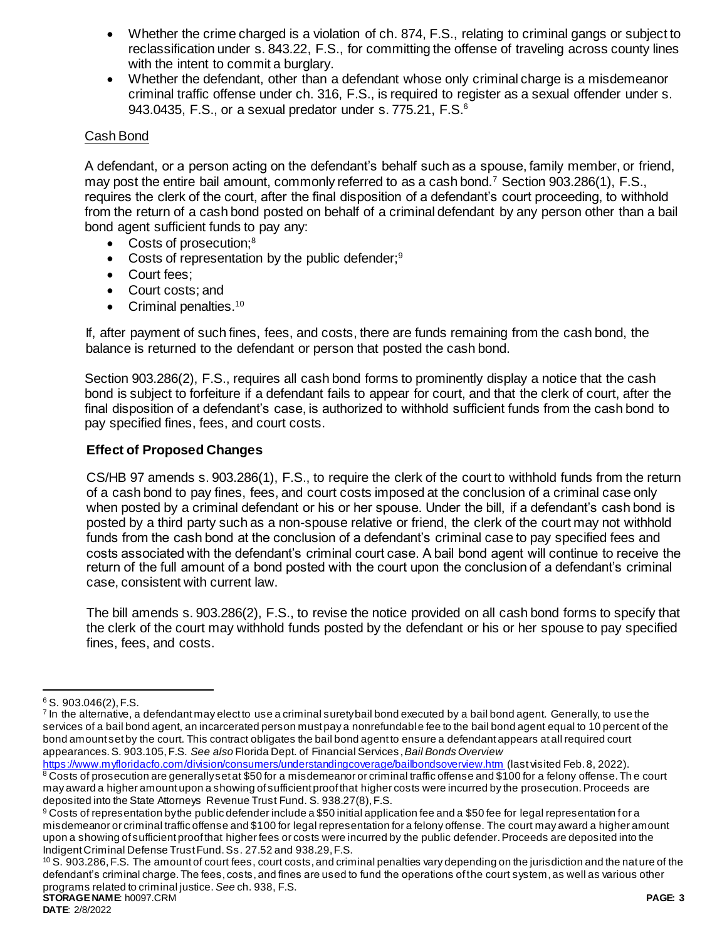- Whether the crime charged is a violation of ch. 874, F.S., relating to criminal gangs or subject to reclassification under s. 843.22, F.S., for committing the offense of traveling across county lines with the intent to commit a burglary.
- Whether the defendant, other than a defendant whose only criminal charge is a misdemeanor criminal traffic offense under ch. 316, F.S., is required to register as a sexual offender under s. 943.0435, F.S., or a sexual predator under s. 775.21, F.S.<sup>6</sup>

# Cash Bond

A defendant, or a person acting on the defendant's behalf such as a spouse, family member, or friend, may post the entire bail amount, commonly referred to as a cash bond.<sup>7</sup> Section 903.286(1), F.S., requires the clerk of the court, after the final disposition of a defendant's court proceeding, to withhold from the return of a cash bond posted on behalf of a criminal defendant by any person other than a bail bond agent sufficient funds to pay any:

- Costs of prosecution:<sup>8</sup>
- Costs of representation by the public defender;<sup>9</sup>
- Court fees:
- Court costs: and
- $\bullet$  Criminal penalties.<sup>10</sup>

If, after payment of such fines, fees, and costs, there are funds remaining from the cash bond, the balance is returned to the defendant or person that posted the cash bond.

Section 903.286(2), F.S., requires all cash bond forms to prominently display a notice that the cash bond is subject to forfeiture if a defendant fails to appear for court, and that the clerk of court, after the final disposition of a defendant's case, is authorized to withhold sufficient funds from the cash bond to pay specified fines, fees, and court costs.

# **Effect of Proposed Changes**

CS/HB 97 amends s. 903.286(1), F.S., to require the clerk of the court to withhold funds from the return of a cash bond to pay fines, fees, and court costs imposed at the conclusion of a criminal case only when posted by a criminal defendant or his or her spouse. Under the bill, if a defendant's cash bond is posted by a third party such as a non-spouse relative or friend, the clerk of the court may not withhold funds from the cash bond at the conclusion of a defendant's criminal case to pay specified fees and costs associated with the defendant's criminal court case. A bail bond agent will continue to receive the return of the full amount of a bond posted with the court upon the conclusion of a defendant's criminal case, consistent with current law.

The bill amends s. 903.286(2), F.S., to revise the notice provided on all cash bond forms to specify that the clerk of the court may withhold funds posted by the defendant or his or her spouse to pay specified fines, fees, and costs.

 $\overline{a}$ 

 $6$  S. 903.046(2), F.S.

<sup>&</sup>lt;sup>7</sup> In the alternative, a defendant may elect to use a criminal surety bail bond executed by a bail bond agent. Generally, to use the services of a bail bond agent, an incarcerated person must pay a nonrefundable fee to the bail bond agent equal to 10 percent of the bond amount set by the court. This contract obligates the bail bond agent to ensure a defendant appears at all required court appearances.S. 903.105, F.S. *See also* Florida Dept. of Financial Services, *Bail Bonds Overview* 

<https://www.myfloridacfo.com/division/consumers/understandingcoverage/bailbondsoverview.htm> (last visited Feb. 8, 2022). 8 Costs of prosecution are generally set at \$50 for a misdemeanor or criminal traffic offense and \$100 for a felony offense. The court may award a higher amount upon a showing of sufficient proof that higher costs were incurred by the prosecution. Proceeds are deposited into the State Attorneys Revenue Trust Fund. S. 938.27(8), F.S.

<sup>9</sup> Costs of representation by the public defender include a \$50 initial application fee and a \$50 fee for legal representation for a misdemeanor or criminal traffic offense and \$100 for legal representation for a felony offense. The court may award a higher amount upon a showing of sufficient proof that higher fees or costs were incurred by the public defender. Proceeds are deposited into the Indigent Criminal Defense Trust Fund. Ss. 27.52 and 938.29, F.S.

**STORAGE NAME**: h0097.CRM **PAGE: 3** <sup>10</sup> S. 903.286, F.S. The amount of court fees, court costs, and criminal penalties vary depending on the jurisdiction and the nature of the defendant's criminal charge. The fees, costs, and fines are used to fund the operations of the court system, as well as various other programs related to criminal justice. *See* ch. 938, F.S.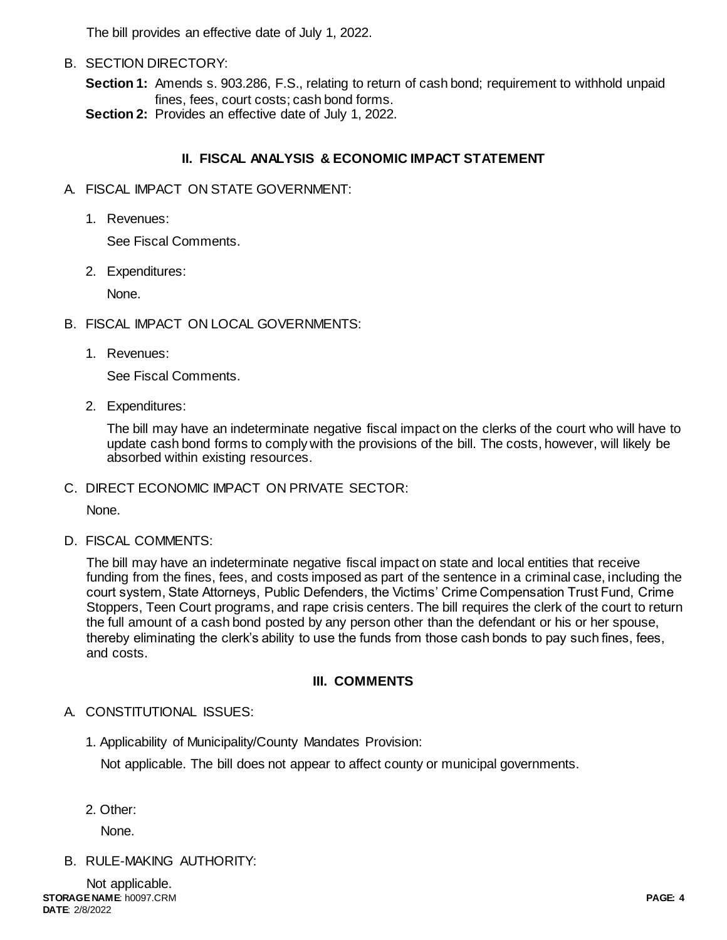The bill provides an effective date of July 1, 2022.

B. SECTION DIRECTORY:

**Section 1:** Amends s. 903.286, F.S., relating to return of cash bond; requirement to withhold unpaid fines, fees, court costs; cash bond forms.

**Section 2:** Provides an effective date of July 1, 2022.

# **II. FISCAL ANALYSIS & ECONOMIC IMPACT STATEMENT**

- A. FISCAL IMPACT ON STATE GOVERNMENT:
	- 1. Revenues:

See Fiscal Comments.

2. Expenditures:

None.

- B. FISCAL IMPACT ON LOCAL GOVERNMENTS:
	- 1. Revenues:

See Fiscal Comments.

2. Expenditures:

The bill may have an indeterminate negative fiscal impact on the clerks of the court who will have to update cash bond forms to comply with the provisions of the bill. The costs, however, will likely be absorbed within existing resources.

C. DIRECT ECONOMIC IMPACT ON PRIVATE SECTOR:

None.

D. FISCAL COMMENTS:

The bill may have an indeterminate negative fiscal impact on state and local entities that receive funding from the fines, fees, and costs imposed as part of the sentence in a criminal case, including the court system, State Attorneys, Public Defenders, the Victims' Crime Compensation Trust Fund, Crime Stoppers, Teen Court programs, and rape crisis centers. The bill requires the clerk of the court to return the full amount of a cash bond posted by any person other than the defendant or his or her spouse, thereby eliminating the clerk's ability to use the funds from those cash bonds to pay such fines, fees, and costs.

## **III. COMMENTS**

# A. CONSTITUTIONAL ISSUES:

1. Applicability of Municipality/County Mandates Provision:

Not applicable. The bill does not appear to affect county or municipal governments.

2. Other:

None.

B. RULE-MAKING AUTHORITY: